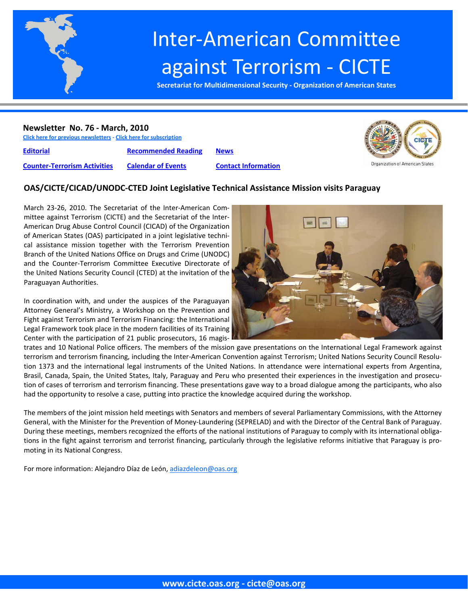

# Inter‐American Committee against Terrorism ‐ CICTE

**Secretariat for Multidimensional Security ‐ Organization of American States**

#### **Newsletter No. 76 ‐ March, 2010**

**Click here for previous [newsletters](http://www.cicte.oas.org/Rev/en/About/Newsletters/Default.asp) ‐ Click here for [subscription](www.cicte.oas.org)**

Organization of American States

**[Editorial](#page-1-0) [Recommended](#page-7-0) Reading [News](#page-9-0) Counter‐[Terrorism](#page-3-0) Activities [Calendar](#page-8-0) of Events Contact [Information](#page-12-0)**

# **OAS/CICTE/CICAD/UNODC‐CTED Joint Legislative Technical Assistance Mission visits Paraguay**

March 23‐26, 2010. The Secretariat of the Inter‐American Com‐ mittee against Terrorism (CICTE) and the Secretariat of the Inter‐ American Drug Abuse Control Council (CICAD) of the Organization of American States (OAS) participated in a joint legislative techni‐ cal assistance mission together with the Terrorism Prevention Branch of the United Nations Office on Drugs and Crime (UNODC) and the Counter‐Terrorism Committee Executive Directorate of the United Nations Security Council (CTED) at the invitation of the Paraguayan Authorities.

In coordination with, and under the auspices of the Paraguayan Attorney General's Ministry, a Workshop on the Prevention and Fight against Terrorism and Terrorism Financing: the International Legal Framework took place in the modern facilities of its Training Center with the participation of 21 public prosecutors, 16 magis‐



trates and 10 National Police officers. The members of the mission gave presentations on the International Legal Framework against terrorism and terrorism financing, including the Inter-American Convention against Terrorism; United Nations Security Council Resolution 1373 and the international legal instruments of the United Nations. In attendance were international experts from Argentina, Brasil, Canada, Spain, the United States, Italy, Paraguay and Peru who presented their experiences in the investigation and prosecution of cases of terrorism and terrorism financing. These presentations gave way to a broad dialogue among the participants, who also had the opportunity to resolve a case, putting into practice the knowledge acquired during the workshop.

The members of the joint mission held meetings with Senators and members of several Parliamentary Commissions, with the Attorney General, with the Minister for the Prevention of Money-Laundering (SEPRELAD) and with the Director of the Central Bank of Paraguay. During these meetings, members recognized the efforts of the national institutions of Paraguay to comply with its international obliga‐ tions in the fight against terrorism and terrorist financing, particularly through the legislative reforms initiative that Paraguay is pro‐ moting in its National Congress.

For more information: Alejandro Díaz de León, adiazdeleon@oas.org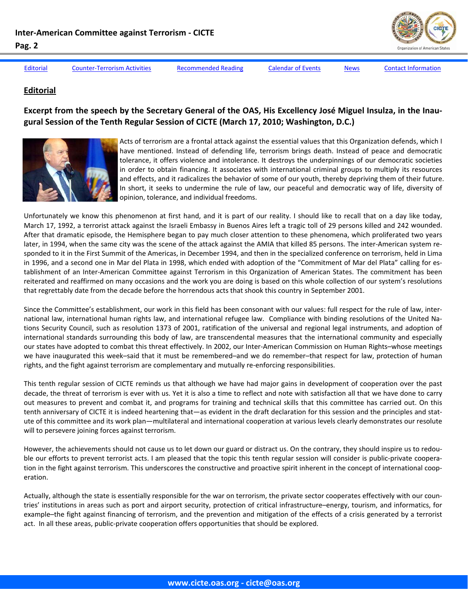

<span id="page-1-0"></span>Editorial Counter-[Terrorism](#page-3-0) Activities [Recommended](#page-7-0) Reading [Calendar](#page-8-0) of Events [News](#page-9-0) Contact [Information](#page-12-0)

# **Editorial**

# Excerpt from the speech by the Secretary General of the OAS, His Excellency José Miguel Insulza, in the Inau**gural Session of the Tenth Regular Session of CICTE (March 17, 2010; Washington, D.C.)**



Acts of terrorism are a frontal attack against the essential values that this Organization defends, which I have mentioned. Instead of defending life, terrorism brings death. Instead of peace and democratic tolerance, it offers violence and intolerance. It destroys the underpinnings of our democratic societies in order to obtain financing. It associates with international criminal groups to multiply its resources and effects, and it radicalizes the behavior of some of our youth, thereby depriving them of their future. In short, it seeks to undermine the rule of law, our peaceful and democratic way of life, diversity of opinion, tolerance, and individual freedoms.

Unfortunately we know this phenomenon at first hand, and it is part of our reality. I should like to recall that on a day like today, March 17, 1992, a terrorist attack against the Israeli Embassy in Buenos Aires left a tragic toll of 29 persons killed and 242 wounded. After that dramatic episode, the Hemisphere began to pay much closer attention to these phenomena, which proliferated two years later, in 1994, when the same city was the scene of the attack against the AMIA that killed 85 persons. The inter-American system responded to it in the First Summit of the Americas, in December 1994, and then in the specialized conference on terrorism, held in Lima in 1996, and a second one in Mar del Plata in 1998, which ended with adoption of the "Commitment of Mar del Plata" calling for es‐ tablishment of an Inter‐American Committee against Terrorism in this Organization of American States. The commitment has been reiterated and reaffirmed on many occasions and the work you are doing is based on this whole collection of our system's resolutions that regrettably date from the decade before the horrendous acts that shook this country in September 2001.

Since the Committee's establishment, our work in this field has been consonant with our values: full respect for the rule of law, inter‐ national law, international human rights law, and international refugee law. Compliance with binding resolutions of the United Na‐ tions Security Council, such as resolution 1373 of 2001, ratification of the universal and regional legal instruments, and adoption of international standards surrounding this body of law, are transcendental measures that the international community and especially our states have adopted to combat this threat effectively. In 2002, our Inter‐American Commission on Human Rights–whose meetings we have inaugurated this week–said that it must be remembered–and we do remember–that respect for law, protection of human rights, and the fight against terrorism are complementary and mutually re-enforcing responsibilities.

This tenth regular session of CICTE reminds us that although we have had major gains in development of cooperation over the past decade, the threat of terrorism is ever with us. Yet it is also a time to reflect and note with satisfaction all that we have done to carry out measures to prevent and combat it, and programs for training and technical skills that this committee has carried out. On this tenth anniversary of CICTE it is indeed heartening that—as evident in the draft declaration for this session and the principles and statute of this committee and its work plan—multilateral and international cooperation at various levels clearly demonstrates our resolute will to persevere joining forces against terrorism.

However, the achievements should not cause us to let down our guard or distract us. On the contrary, they should inspire us to redouble our efforts to prevent terrorist acts. I am pleased that the topic this tenth regular session will consider is public-private cooperation in the fight against terrorism. This underscores the constructive and proactive spirit inherent in the concept of international cooperation.

Actually, although the state is essentially responsible for the war on terrorism, the private sector cooperates effectively with our coun‐ tries' institutions in areas such as port and airport security, protection of critical infrastructure–energy, tourism, and informatics, for example–the fight against financing of terrorism, and the prevention and mitigation of the effects of a crisis generated by a terrorist act. In all these areas, public‐private cooperation offers opportunities that should be explored.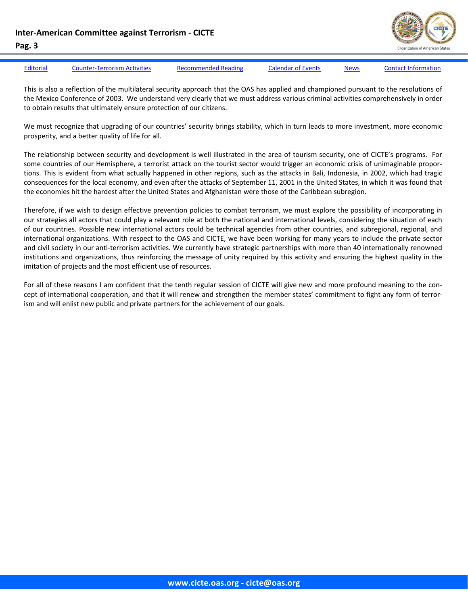**Inter‐American Committee against Terrorism ‐ CICTE**



#### **Pag. 3**

[Editorial](#page-1-0) Counter-[Terrorism](#page-3-0) Activities [Recommended](#page-7-0) Reading [Calendar](#page-8-0) of Events [News](#page-9-0) Contact [Information](#page-12-0)

This is also a reflection of the multilateral security approach that the OAS has applied and championed pursuant to the resolutions of the Mexico Conference of 2003. We understand very clearly that we must address various criminal activities comprehensively in order to obtain results that ultimately ensure protection of our citizens.

We must recognize that upgrading of our countries' security brings stability, which in turn leads to more investment, more economic prosperity, and a better quality of life for all.

The relationship between security and development is well illustrated in the area of tourism security, one of CICTE's programs. For some countries of our Hemisphere, a terrorist attack on the tourist sector would trigger an economic crisis of unimaginable proportions. This is evident from what actually happened in other regions, such as the attacks in Bali, Indonesia, in 2002, which had tragic consequences for the local economy, and even after the attacks of September 11, 2001 in the United States, in which it was found that the economies hit the hardest after the United States and Afghanistan were those of the Caribbean subregion.

Therefore, if we wish to design effective prevention policies to combat terrorism, we must explore the possibility of incorporating in our strategies all actors that could play a relevant role at both the national and international levels, considering the situation of each of our countries. Possible new international actors could be technical agencies from other countries, and subregional, regional, and international organizations. With respect to the OAS and CICTE, we have been working for many years to include the private sector and civil society in our anti-terrorism activities. We currently have strategic partnerships with more than 40 internationally renowned institutions and organizations, thus reinforcing the message of unity required by this activity and ensuring the highest quality in the imitation of projects and the most efficient use of resources.

For all of these reasons I am confident that the tenth regular session of CICTE will give new and more profound meaning to the concept of international cooperation, and that it will renew and strengthen the member states' commitment to fight any form of terrorism and will enlist new public and private partners for the achievement of our goals.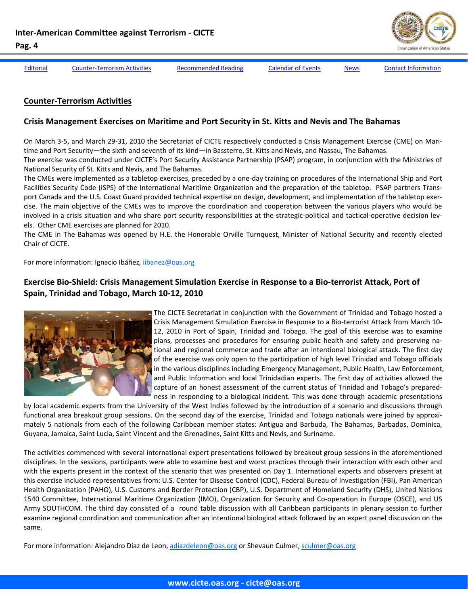

<span id="page-3-0"></span>[Editorial](#page-1-0) Counter-Terrorism Activities [Recommended](#page-7-0) Reading [Calendar](#page-8-0) of Events [News](#page-9-0) Contact [Information](#page-12-0)

#### **Counter‐Terrorism Activities**

#### **Crisis Management Exercises on Maritime and Port Security in St. Kitts and Nevis and The Bahamas**

On March 3‐5, and March 29‐31, 2010 the Secretariat of CICTE respectively conducted a Crisis Management Exercise (CME) on Mari‐ time and Port Security—the sixth and seventh of its kind—in Bassterre, St. Kitts and Nevis, and Nassau, The Bahamas. The exercise was conducted under CICTE's Port Security Assistance Partnership (PSAP) program, in conjunction with the Ministries of National Security of St. Kitts and Nevis, and The Bahamas.

The CMEs were implemented as a tabletop exercises, preceded by a one‐day training on procedures of the International Ship and Port Facilities Security Code (ISPS) of the International Maritime Organization and the preparation of the tabletop. PSAP partners Trans‐ port Canada and the U.S. Coast Guard provided technical expertise on design, development, and implementation of the tabletop exercise. The main objective of the CMEs was to improve the coordination and cooperation between the various players who would be involved in a crisis situation and who share port security responsibilities at the strategic-political and tactical-operative decision levels. Other CME exercises are planned for 2010.

The CME in The Bahamas was opened by H.E. the Honorable Orville Turnquest, Minister of National Security and recently elected Chair of CICTE.

For more information: Ignacio Ibáñez, iibanez@oas.org

# Exercise Bio-Shield: Crisis Management Simulation Exercise in Response to a Bio-terrorist Attack, Port of **Spain, Trinidad and Tobago, March 10‐12, 2010**



The CICTE Secretariat in conjunction with the Government of Trinidad and Tobago hosted a Crisis Management Simulation Exercise in Response to a Bio‐terrorist Attack from March 10‐ 12, 2010 in Port of Spain, Trinidad and Tobago. The goal of this exercise was to examine plans, processes and procedures for ensuring public health and safety and preserving na‐ tional and regional commerce and trade after an intentional biological attack. The first day of the exercise was only open to the participation of high level Trinidad and Tobago officials in the various disciplines including Emergency Management, Public Health, Law Enforcement, and Public Information and local Trinidadian experts. The first day of activities allowed the capture of an honest assessment of the current status of Trinidad and Tobago's prepared‐ ness in responding to a biological incident. This was done through academic presentations

by local academic experts from the University of the West Indies followed by the introduction of a scenario and discussions through functional area breakout group sessions. On the second day of the exercise, Trinidad and Tobago nationals were joined by approximately 5 nationals from each of the following Caribbean member states: Antigua and Barbuda, The Bahamas, Barbados, Dominica, Guyana, Jamaica, Saint Lucia, Saint Vincent and the Grenadines, Saint Kitts and Nevis, and Suriname.

The activities commenced with several international expert presentations followed by breakout group sessions in the aforementioned disciplines. In the sessions, participants were able to examine best and worst practices through their interaction with each other and with the experts present in the context of the scenario that was presented on Day 1. International experts and observers present at this exercise included representatives from: U.S. Center for Disease Control (CDC), Federal Bureau of Investigation (FBI), Pan American Health Organization (PAHO), U.S. Customs and Border Protection (CBP), U.S. Department of Homeland Security (DHS), United Nations 1540 Committee, International Maritime Organization (IMO), Organization for Security and Co-operation in Europe (OSCE), and US Army SOUTHCOM. The third day consisted of a round table discussion with all Caribbean participants in plenary session to further examine regional coordination and communication after an intentional biological attack followed by an expert panel discussion on the same.

For more information: Alejandro Diaz de Leon, adiazdeleon@oas.org or Shevaun Culmer, sculmer@oas.org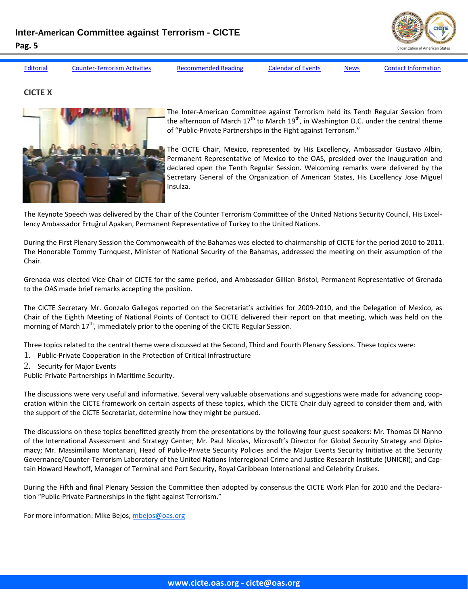

[Editorial](#page-1-0) Counter-[Terrorism](#page-3-0) Activities [Recommended](#page-7-0) Reading [Calendar](#page-8-0) of Events [News](#page-9-0) Contact [Information](#page-12-0)

**CICTE X**



The Inter‐American Committee against Terrorism held its Tenth Regular Session from the afternoon of March  $17^{th}$  to March  $19^{th}$ , in Washington D.C. under the central theme of "Public‐Private Partnerships in the Fight against Terrorism."

The CICTE Chair, Mexico, represented by His Excellency, Ambassador Gustavo Albin, Permanent Representative of Mexico to the OAS, presided over the Inauguration and declared open the Tenth Regular Session. Welcoming remarks were delivered by the Secretary General of the Organization of American States, His Excellency Jose Miguel Insulza.

The Keynote Speech was delivered by the Chair of the Counter Terrorism Committee of the United Nations Security Council, His Excel‐ lency Ambassador Ertuğrul Apakan, Permanent Representative of Turkey to the United Nations.

During the First Plenary Session the Commonwealth of the Bahamas was elected to chairmanship of CICTE for the period 2010 to 2011. The Honorable Tommy Turnquest, Minister of National Security of the Bahamas, addressed the meeting on their assumption of the Chair.

Grenada was elected Vice‐Chair of CICTE for the same period, and Ambassador Gillian Bristol, Permanent Representative of Grenada to the OAS made brief remarks accepting the position.

The CICTE Secretary Mr. Gonzalo Gallegos reported on the Secretariat's activities for 2009‐2010, and the Delegation of Mexico, as Chair of the Eighth Meeting of National Points of Contact to CICTE delivered their report on that meeting, which was held on the morning of March  $17<sup>th</sup>$ , immediately prior to the opening of the CICTE Regular Session.

Three topics related to the central theme were discussed at the Second, Third and Fourth Plenary Sessions. These topics were:

- 1. Public‐Private Cooperation in the Protection of Critical Infrastructure
- 2. Security for Major Events
- Public‐Private Partnerships in Maritime Security.

The discussions were very useful and informative. Several very valuable observations and suggestions were made for advancing coop‐ eration within the CICTE framework on certain aspects of these topics, which the CICTE Chair duly agreed to consider them and, with the support of the CICTE Secretariat, determine how they might be pursued.

The discussions on these topics benefitted greatly from the presentations by the following four guest speakers: Mr. Thomas Di Nanno of the International Assessment and Strategy Center; Mr. Paul Nicolas, Microsoft's Director for Global Security Strategy and Diplo‐ macy; Mr. Massimiliano Montanari, Head of Public‐Private Security Policies and the Major Events Security Initiative at the Security Governance/Counter‐Terrorism Laboratory of the United Nations Interregional Crime and Justice Research Institute (UNICRI); and Cap‐ tain Howard Hewhoff, Manager of Terminal and Port Security, Royal Caribbean International and Celebrity Cruises.

During the Fifth and final Plenary Session the Committee then adopted by consensus the CICTE Work Plan for 2010 and the Declara‐ tion "Public-Private Partnerships in the fight against Terrorism."

For more information: Mike Bejos, mbejos@oas.org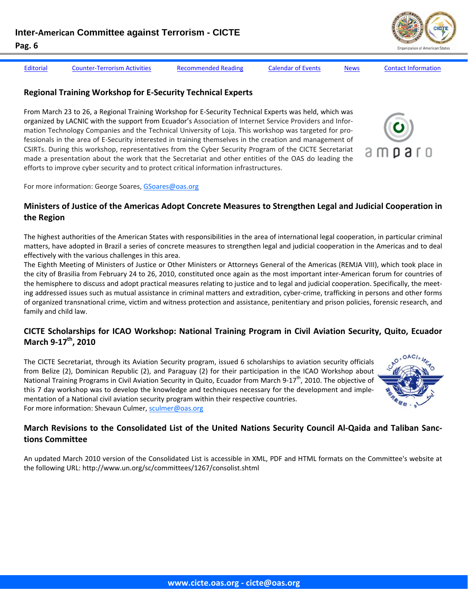[Editorial](#page-1-0) Counter-[Terrorism](#page-3-0) Activities [Recommended](#page-7-0) Reading [Calendar](#page-8-0) of Events [News](#page-9-0) Contact [Information](#page-12-0)

 $0.3<sub>0</sub>$ 

### **Regional Training Workshop for E‐Security Technical Experts**

From March 23 to 26, a Regional Training Workshop for E‐Security Technical Experts was held, which was organized by LACNIC with the support from Ecuador's Association of Internet Service Providers and Infor‐ mation Technology Companies and the Technical University of Loja. This workshop was targeted for pro‐ fessionals in the area of E‐Security interested in training themselves in the creation and management of CSIRTs. During this workshop, representatives from the Cyber Security Program of the CICTE Secretariat made a presentation about the work that the Secretariat and other entities of the OAS do leading the efforts to improve cyber security and to protect critical information infrastructures.

For more information: George Soares, GSoares@oas.org

# **Ministers of Justice of the Americas Adopt Concrete Measures to Strengthen Legal and Judicial Cooperation in the Region**

The highest authorities of the American States with responsibilities in the area of international legal cooperation, in particular criminal matters, have adopted in Brazil a series of concrete measures to strengthen legal and judicial cooperation in the Americas and to deal effectively with the various challenges in this area.

The Eighth Meeting of Ministers of Justice or Other Ministers or Attorneys General of the Americas (REMJA VIII), which took place in the city of Brasilia from February 24 to 26, 2010, constituted once again as the most important inter‐American forum for countries of the hemisphere to discuss and adopt practical measures relating to justice and to legal and judicial cooperation. Specifically, the meet‐ ing addressed issues such as mutual assistance in criminal matters and extradition, cyber-crime, trafficking in persons and other forms of organized transnational crime, victim and witness protection and assistance, penitentiary and prison policies, forensic research, and family and child law.

# **CICTE Scholarships for ICAO Workshop: National Training Program in Civil Aviation Security, Quito, Ecuador March 9‐17th, 2010**

The CICTE Secretariat, through its Aviation Security program, issued 6 scholarships to aviation security officials from Belize (2), Dominican Republic (2), and Paraguay (2) for their participation in the ICAO Workshop about National Training Programs in Civil Aviation Security in Quito, Ecuador from March 9-17<sup>th</sup>, 2010. The objective of this 7 day workshop was to develop the knowledge and techniques necessary for the development and imple‐ mentation of a National civil aviation security program within their respective countries. For more information: Shevaun Culmer, sculmer@oas.org

# March Revisions to the Consolidated List of the United Nations Security Council Al-Qaida and Taliban Sanc**tions Committee**

An updated March 2010 version of the Consolidated List is accessible in XML, PDF and HTML formats on the Committee's website at the following URL: http://www.un.org/sc/committees/1267/consolist.shtml

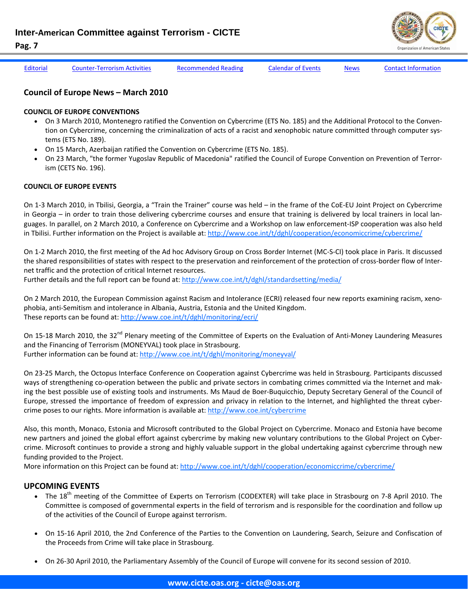**Inter-American Committee against Terrorism - CICTE** 

- 
- **Pag. 7**  [Editorial](#page-1-0) Counter-[Terrorism](#page-3-0) Activities [Recommended](#page-7-0) Reading [Calendar](#page-8-0) of Events [News](#page-9-0) Contact [Information](#page-12-0)

### **Council of Europe News – March 2010**

#### **COUNCIL OF EUROPE CONVENTIONS**

- On 3 March 2010, Montenegro ratified the Convention on Cybercrime (ETS No. 185) and the Additional Protocol to the Conven‐ tion on Cybercrime, concerning the criminalization of acts of a racist and xenophobic nature committed through computer systems (ETS No. 189).
- On 15 March, Azerbaijan ratified the Convention on Cybercrime (ETS No. 185).
- On 23 March, "the former Yugoslav Republic of Macedonia" ratified the Council of Europe Convention on Prevention of Terror‐ ism (CETS No. 196).

#### **COUNCIL OF EUROPE EVENTS**

On 1-3 March 2010, in Tbilisi, Georgia, a "Train the Trainer" course was held – in the frame of the CoE-EU Joint Project on Cybercrime in Georgia – in order to train those delivering cybercrime courses and ensure that training is delivered by local trainers in local languages. In parallel, on 2 March 2010, a Conference on Cybercrime and a Workshop on law enforcement‐ISP cooperation was also held in Tbilisi. Further information on the Project is available at: http://www.coe.int/t/dghl/cooperation/economiccrime/cybercrime/

On 1-2 March 2010, the first meeting of the Ad hoc Advisory Group on Cross Border Internet (MC-S-CI) took place in Paris. It discussed the shared responsibilities of states with respect to the preservation and reinforcement of the protection of cross-border flow of Internet traffic and the protection of critical Internet resources.

Further details and the full report can be found at: http://www.coe.int/t/dghl/standardsetting/media/

On 2 March 2010, the European Commission against Racism and Intolerance (ECRI) released four new reports examining racism, xeno‐ phobia, anti‐Semitism and intolerance in Albania, Austria, Estonia and the United Kingdom. These reports can be found at: http://www.coe.int/t/dghl/monitoring/ecri/

On 15-18 March 2010, the 32<sup>nd</sup> Plenary meeting of the Committee of Experts on the Evaluation of Anti-Money Laundering Measures and the Financing of Terrorism (MONEYVAL) took place in Strasbourg. Further information can be found at: http://www.coe.int/t/dghl/monitoring/moneyval/

On 23‐25 March, the Octopus Interface Conference on Cooperation against Cybercrime was held in Strasbourg. Participants discussed ways of strengthening co-operation between the public and private sectors in combating crimes committed via the Internet and making the best possible use of existing tools and instruments. Ms Maud de Boer‐Buquicchio, Deputy Secretary General of the Council of Europe, stressed the importance of freedom of expression and privacy in relation to the Internet, and highlighted the threat cyber‐ crime poses to our rights. More information is available at: http://www.coe.int/cybercrime

Also, this month, Monaco, Estonia and Microsoft contributed to the Global Project on Cybercrime. Monaco and Estonia have become new partners and joined the global effort against cybercrime by making new voluntary contributions to the Global Project on Cyber‐ crime. Microsoft continues to provide a strong and highly valuable support in the global undertaking against cybercrime through new funding provided to the Project.

More information on this Project can be found at: http://www.coe.int/t/dghl/cooperation/economiccrime/cybercrime/

# **UPCOMING EVENTS**

- The 18<sup>th</sup> meeting of the Committee of Experts on Terrorism (CODEXTER) will take place in Strasbourg on 7-8 April 2010. The Committee is composed of governmental experts in the field of terrorism and is responsible for the coordination and follow up of the activities of the Council of Europe against terrorism.
- On 15‐16 April 2010, the 2nd Conference of the Parties to the Convention on Laundering, Search, Seizure and Confiscation of the Proceeds from Crime will take place in Strasbourg.
- On 26‐30 April 2010, the Parliamentary Assembly of the Council of Europe will convene for its second session of 2010.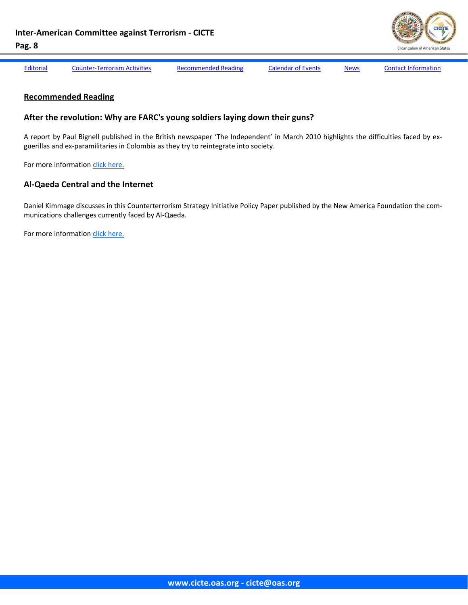

<span id="page-7-0"></span>

[Editorial](#page-1-0) Counter-[Terrorism](#page-3-0) Activities Recommended Reading [Calendar](#page-8-0) of Events [News](#page-9-0) Contact [Information](#page-12-0)

#### **Recommended Reading**

#### **After the revolution: Why are FARC's young soldiers laying down their guns?**

A report by Paul Bignell published in the British newspaper 'The Independent' in March 2010 highlights the difficulties faced by ex‐ guerillas and ex‐paramilitaries in Colombia as they try to reintegrate into society.

For more information click here.

# **Al‐Qaeda Central and the Internet**

Daniel Kimmage discusses in this Counterterrorism Strategy Initiative Policy Paper published by the New America Foundation the com‐ munications challenges currently faced by Al‐Qaeda.

For more information click here.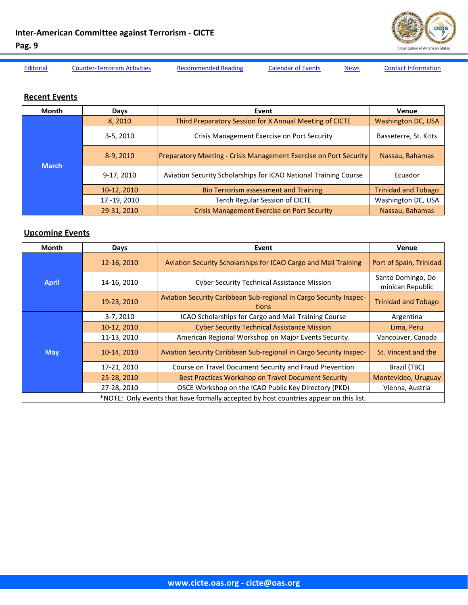

<span id="page-8-0"></span>

[Editorial](#page-1-0) Counter-[Terrorism](#page-3-0) Activities [Recommended](#page-7-0) Reading Calendar of Events [News](#page-9-0) Contact [Information](#page-12-0)

# **Recent Events**

| <b>Month</b> | Days          | Event                                                                    | Venue                      |
|--------------|---------------|--------------------------------------------------------------------------|----------------------------|
| <b>March</b> | 8,2010        | Third Preparatory Session for X Annual Meeting of CICTE                  | Washington DC, USA         |
|              | $3-5, 2010$   | Crisis Management Exercise on Port Security                              | Basseterre, St. Kitts      |
|              | $8-9, 2010$   | <b>Preparatory Meeting - Crisis Management Exercise on Port Security</b> | Nassau, Bahamas            |
|              | 9-17, 2010    | Aviation Security Scholarships for ICAO National Training Course         | Ecuador                    |
|              | 10-12, 2010   | <b>Bio Terrorism assessment and Training</b>                             | <b>Trinidad and Tobago</b> |
|              | 17 - 19, 2010 | Tenth Regular Session of CICTE                                           | Washington DC, USA         |
|              | 29-31, 2010   | <b>Crisis Management Exercise on Port Security</b>                       | Nassau, Bahamas            |

# **Upcoming Events**

| Month                                                                                 | Days        | Event                                                                       | <b>Venue</b>                           |  |
|---------------------------------------------------------------------------------------|-------------|-----------------------------------------------------------------------------|----------------------------------------|--|
| <b>April</b>                                                                          | 12-16, 2010 | Aviation Security Scholarships for ICAO Cargo and Mail Training             | Port of Spain, Trinidad                |  |
|                                                                                       | 14-16, 2010 | <b>Cyber Security Technical Assistance Mission</b>                          | Santo Domingo, Do-<br>minican Republic |  |
|                                                                                       | 19-23, 2010 | Aviation Security Caribbean Sub-regional in Cargo Security Inspec-<br>tions | <b>Trinidad and Tobago</b>             |  |
| <b>May</b>                                                                            | 3-7, 2010   | ICAO Scholarships for Cargo and Mail Training Course                        | Argentina                              |  |
|                                                                                       | 10-12, 2010 | <b>Cyber Security Technical Assistance Mission</b>                          | Lima, Peru                             |  |
|                                                                                       | 11-13, 2010 | American Regional Workshop on Major Events Security.                        | Vancouver, Canada                      |  |
|                                                                                       | 10-14, 2010 | Aviation Security Caribbean Sub-regional in Cargo Security Inspec-          | St. Vincent and the                    |  |
|                                                                                       | 17-21, 2010 | Course on Travel Document Security and Fraud Prevention                     | Brazil (TBC)                           |  |
|                                                                                       | 25-28, 2010 | Best Practices Workshop on Travel Document Security                         | Montevideo, Uruguay                    |  |
|                                                                                       | 27-28, 2010 | OSCE Workshop on the ICAO Public Key Directory (PKD)                        | Vienna, Austria                        |  |
| *NOTE: Only events that have formally accepted by host countries appear on this list. |             |                                                                             |                                        |  |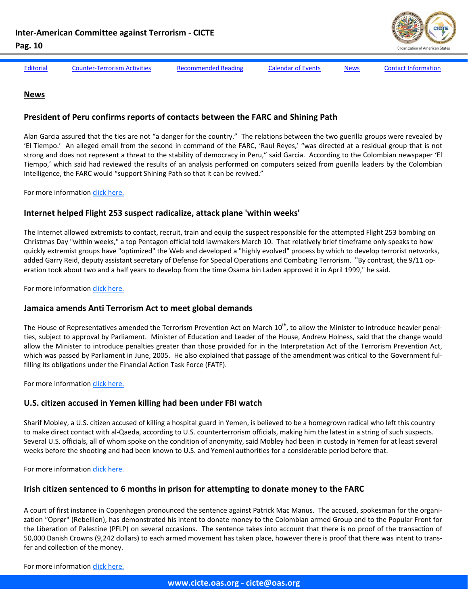

<span id="page-9-0"></span>

**News**

[Editorial](#page-1-0) Counter-[Terrorism](#page-3-0) Activities [Recommended](#page-7-0) Reading [Calendar](#page-8-0) of Events News Contact [Information](#page-12-0)

#### **President of Peru confirms reports of contacts between the FARC and Shining Path**

Alan Garcia assured that the ties are not "a danger for the country." The relations between the two guerilla groups were revealed by 'El Tiempo.' An alleged email from the second in command of the FARC, 'Raul Reyes,' "was directed at a residual group that is not strong and does not represent a threat to the stability of democracy in Peru," said Garcia. According to the Colombian newspaper 'El Tiempo,' which said had reviewed the results of an analysis performed on computers seized from guerilla leaders by the Colombian Intelligence, the FARC would "support Shining Path so that it can be revived."

For more information click [here.](http://www.eltiempo.com/mundo/latinoamerica/colombia-y-peru-trabajan-ante-una-posible-alianza-farc-sendero_7367848-1)

#### **Internet helped Flight 253 suspect radicalize, attack plane 'within weeks'**

The Internet allowed extremists to contact, recruit, train and equip the suspect responsible for the attempted Flight 253 bombing on Christmas Day "within weeks," a top Pentagon official told lawmakers March 10. That relatively brief timeframe only speaks to how quickly extremist groups have "optimized" the Web and developed a "highly evolved" process by which to develop terrorist networks, added Garry Reid, deputy assistant secretary of Defense for Special Operations and Combating Terrorism. "By contrast, the 9/11 op‐ eration took about two and a half years to develop from the time Osama bin Laden approved it in April 1999," he said.

For more information click [here.](http://thehill.com/blogs/hillicon-valley/technology/86197-internet-helped-flight-253-suspect-radicalize-attack-plane-within-weeks)

#### **Jamaica amends Anti Terrorism Act to meet global demands**

The House of Representatives amended the Terrorism Prevention Act on March  $10^{th}$ , to allow the Minister to introduce heavier penalties, subject to approval by Parliament. Minister of Education and Leader of the House, Andrew Holness, said that the change would allow the Minister to introduce penalties greater than those provided for in the Interpretation Act of the Terrorism Prevention Act, which was passed by Parliament in June, 2005. He also explained that passage of the amendment was critical to the Government fulfilling its obligations under the Financial Action Task Force (FATF).

For more information click [here.](http://www.caribbeannetnews.com/news-21996--9-9--.html.)

# **U.S. citizen accused in Yemen killing had been under FBI watch**

Sharif Mobley, a U.S. citizen accused of killing a hospital guard in Yemen, is believed to be a homegrown radical who left this country to make direct contact with al‐Qaeda, according to U.S. counterterrorism officials, making him the latest in a string of such suspects. Several U.S. officials, all of whom spoke on the condition of anonymity, said Mobley had been in custody in Yemen for at least several weeks before the shooting and had been known to U.S. and Yemeni authorities for a considerable period before that.

For more information click [here.](http://www.washingtonpost.com/wp-dyn/content/article/2010/03/12/AR2010031204241.html?sub=AR)

#### **Irish citizen sentenced to 6 months in prison for attempting to donate money to the FARC**

A court of first instance in Copenhagen pronounced the sentence against Patrick Mac Manus. The accused, spokesman for the organi‐ zation "Oprør" (Rebellion), has demonstrated his intent to donate money to the Colombian armed Group and to the Popular Front for the Liberation of Palestine (PFLP) on several occasions. The sentence takes into account that there is no proof of the transaction of 50,000 Danish Crowns (9,242 dollars) to each armed movement has taken place, however there is proof that there was intent to trans‐ fer and collection of the money.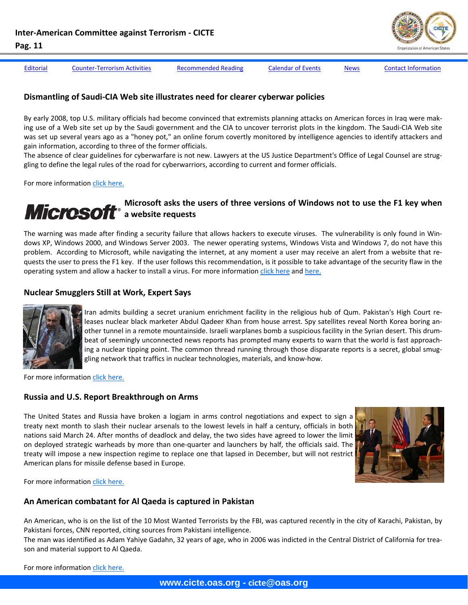

[Editorial](#page-1-0) Counter-[Terrorism](#page-3-0) Activities [Recommended](#page-7-0) Reading [Calendar](#page-8-0) of Events [News](#page-9-0) Contact [Information](#page-12-0)

# **Dismantling of Saudi‐CIA Web site illustrates need for clearer cyberwar policies**

By early 2008, top U.S. military officials had become convinced that extremists planning attacks on American forces in Iraq were mak‐ ing use of a Web site set up by the Saudi government and the CIA to uncover terrorist plots in the kingdom. The Saudi‐CIA Web site was set up several years ago as a "honey pot," an online forum covertly monitored by intelligence agencies to identify attackers and gain information, according to three of the former officials.

The absence of clear guidelines for cyberwarfare is not new. Lawyers at the US Justice Department's Office of Legal Counsel are strug‐ gling to define the legal rules of the road for cyberwarriors, according to current and former officials.

For more information click [here](http://www.washingtonpost.com/wp-dyn/content/article/2010/03/18/AR2010031805464.html).

# **Microsoft asks the users of three versions of Windows not to use the F1 key when a website requests**

The warning was made after finding a security failure that allows hackers to execute viruses. The vulnerability is only found in Win‐ dows XP, Windows 2000, and Windows Server 2003. The newer operating systems, Windows Vista and Windows 7, do not have this problem. According to Microsoft, while navigating the internet, at any moment a user may receive an alert from a website that requests the user to press the F1 key. If the user follows this recommendation, is it possible to take advantage of the security flaw in the operating system and allow a hacker to install a virus. For more information click [here](http://www.eltiempo.com/enter/actualidad_a/microsoft-pide-no-utilizar-tecla-f1-en-internet-explorer_7338907-1) and [here.](http://www.microsoft.com/technet/security/advisory/981169.mspx)

# **Nuclear Smugglers Still at Work, Expert Says**



Iran admits building a secret uranium enrichment facility in the religious hub of Qum. Pakistan's High Court re‐ leases nuclear black marketer Abdul Qadeer Khan from house arrest. Spy satellites reveal North Korea boring an‐ other tunnel in a remote mountainside. Israeli warplanes bomb a suspicious facility in the Syrian desert. This drum‐ beat of seemingly unconnected news reports has prompted many experts to warn that the world is fast approach‐ ing a nuclear tipping point. The common thread running through those disparate reports is a secret, global smuggling network that traffics in nuclear technologies, materials, and know‐how.

For more information click [here.](http://gsn.nti.org/gsn/nw_20100312_1208.php)

#### **Russia and U.S. Report Breakthrough on Arms**

The United States and Russia have broken a logjam in arms control negotiations and expect to sign a treaty next month to slash their nuclear arsenals to the lowest levels in half a century, officials in both nations said March 24. After months of deadlock and delay, the two sides have agreed to lower the limit on deployed strategic warheads by more than one-quarter and launchers by half, the officials said. The treaty will impose a new inspection regime to replace one that lapsed in December, but will not restrict American plans for missile defense based in Europe.



For more information click [here.](http://www.nytimes.com/2010/03/25/world/europe/25start.html)

# **An American combatant for Al Qaeda is captured in Pakistan**

An American, who is on the list of the 10 Most Wanted Terrorists by the FBI, was captured recently in the city of Karachi, Pakistan, by Pakistani forces, CNN reported, citing sources from Pakistani intelligence.

The man was identified as Adam Yahiye Gadahn, 32 years of age, who in 2006 was indicted in the Central District of California for trea‐ son and material support to Al Qaeda.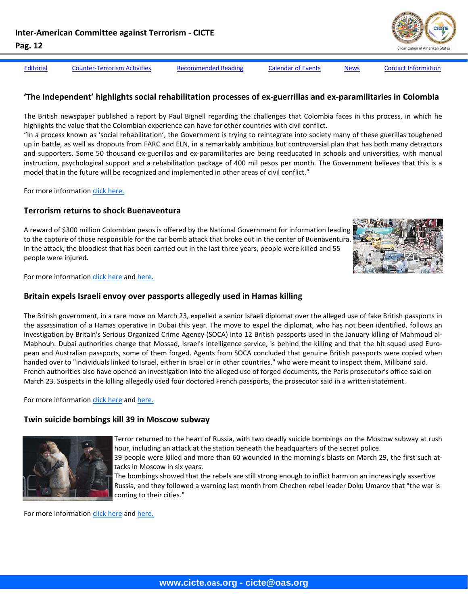[Editorial](#page-1-0) Counter-[Terrorism](#page-3-0) Activities [Recommended](#page-7-0) Reading [Calendar](#page-8-0) of Events [News](#page-9-0) Contact [Information](#page-12-0)

### **'The Independent' highlights social rehabilitation processes of ex‐guerrillas and ex‐paramilitaries in Colombia**

The British newspaper published a report by Paul Bignell regarding the challenges that Colombia faces in this process, in which he highlights the value that the Colombian experience can have for other countries with civil conflict.

"In a process known as 'social rehabilitation', the Government is trying to reintegrate into society many of these guerillas toughened up in battle, as well as dropouts from FARC and ELN, in a remarkably ambitious but controversial plan that has both many detractors and supporters. Some 50 thousand ex-guerillas and ex-paramilitaries are being reeducated in schools and universities, with manual instruction, psychological support and a rehabilitation package of 400 mil pesos per month. The Government believes that this is a model that in the future will be recognized and implemented in other areas of civil conflict."

For more information click [here.](http://www.eltiempo.com/colombia/politica/periodico-britanico-the-independent-publica-una-cronica-sobre-la-reinsercion-en-colombia_7458533-1)

#### **Terrorism returns to shock Buenaventura**

A reward of \$300 million Colombian pesos is offered by the National Government for information leading to the capture of those responsible for the car bomb attack that broke out in the center of Buenaventura. In the attack, the bloodiest that has been carried out in the last three years, people were killed and 55 people were injured.



For more information click [here](http://www.elpais.com.co/paisonline/notas/Marzo252010/1buena.html) and [here.](http://www.elpais.com.co/paisonline/notas/Marzo242010/reaccionesautoridades.html)

#### **Britain expels Israeli envoy over passports allegedly used in Hamas killing**

The British government, in a rare move on March 23, expelled a senior Israeli diplomat over the alleged use of fake British passports in the assassination of a Hamas operative in Dubai this year. The move to expel the diplomat, who has not been identified, follows an investigation by Britain's Serious Organized Crime Agency (SOCA) into 12 British passports used in the January killing of Mahmoud al‐ Mabhouh. Dubai authorities charge that Mossad, Israel's intelligence service, is behind the killing and that the hit squad used European and Australian passports, some of them forged. Agents from SOCA concluded that genuine British passports were copied when handed over to "individuals linked to Israel, either in Israel or in other countries," who were meant to inspect them, Miliband said. French authorities also have opened an investigation into the alleged use of forged documents, the Paris prosecutor's office said on March 23. Suspects in the killing allegedly used four doctored French passports, the prosecutor said in a written statement.

For more information click [here](http://www.washingtonpost.com/wp-dyn/content/article/2010/03/23/AR2010032304124.html) and [here.](http://www.cnn.com/2010/WORLD/europe/03/23/uae.hamas.killing/index.html)

#### **Twin suicide bombings kill 39 in Moscow subway**



Terror returned to the heart of Russia, with two deadly suicide bombings on the Moscow subway at rush hour, including an attack at the station beneath the headquarters of the secret police. 39 people were killed and more than 60 wounded in the morning's blasts on March 29, the first such at‐ tacks in Moscow in six years.

The bombings showed that the rebels are still strong enough to inflict harm on an increasingly assertive Russia, and they followed a warning last month from Chechen rebel leader Doku Umarov that "the war is coming to their cities."

For more information click [here](http://news.yahoo.com/s/ap/20100329/ap_on_re_eu/eu_russia_subway_blast) and [here.](http://www.nytimes.com/2010/03/31/opinion/31wed2.html)